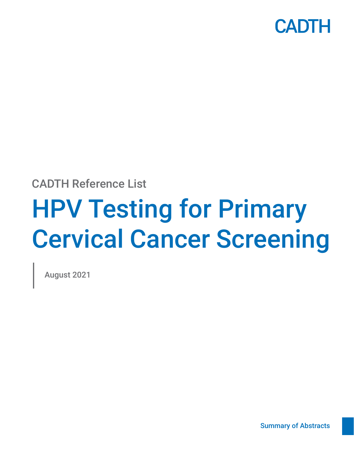

## CADTH Reference List

# HPV Testing for Primary Cervical Cancer Screening

August 2021

[Summary of Abstracts](#page-2-0)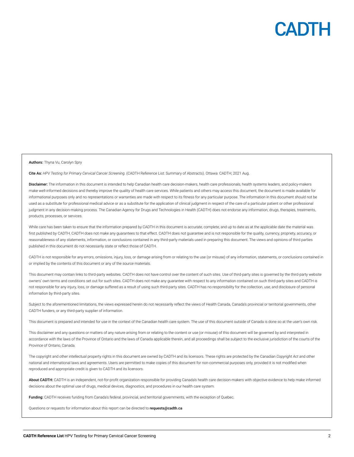

#### Authors: Thyna Vu, Carolyn Spry

Cite As: *HPV Testing for Primary Cervical Cancer Screening.* (CADTH Reference List: Summary of Abstracts). Ottawa: CADTH; 2021 Aug.

Disclaimer: The information in this document is intended to help Canadian health care decision-makers, health care professionals, health systems leaders, and policy-makers make well-informed decisions and thereby improve the quality of health care services. While patients and others may access this document, the document is made available for informational purposes only and no representations or warranties are made with respect to its fitness for any particular purpose. The information in this document should not be used as a substitute for professional medical advice or as a substitute for the application of clinical judgment in respect of the care of a particular patient or other professional judgment in any decision-making process. The Canadian Agency for Drugs and Technologies in Health (CADTH) does not endorse any information, drugs, therapies, treatments, products, processes, or services.

While care has been taken to ensure that the information prepared by CADTH in this document is accurate, complete, and up to date as at the applicable date the material was first published by CADTH, CADTH does not make any guarantees to that effect. CADTH does not guarantee and is not responsible for the quality, currency, propriety, accuracy, or reasonableness of any statements, information, or conclusions contained in any third-party materials used in preparing this document. The views and opinions of third parties published in this document do not necessarily state or reflect those of CADTH.

CADTH is not responsible for any errors, omissions, injury, loss, or damage arising from or relating to the use (or misuse) of any information, statements, or conclusions contained in or implied by the contents of this document or any of the source materials.

This document may contain links to third-party websites. CADTH does not have control over the content of such sites. Use of third-party sites is governed by the third-party website owners' own terms and conditions set out for such sites. CADTH does not make any guarantee with respect to any information contained on such third-party sites and CADTH is not responsible for any injury, loss, or damage suffered as a result of using such third-party sites. CADTH has no responsibility for the collection, use, and disclosure of personal information by third-party sites.

Subject to the aforementioned limitations, the views expressed herein do not necessarily reflect the views of Health Canada, Canada's provincial or territorial governments, other CADTH funders, or any third-party supplier of information.

This document is prepared and intended for use in the context of the Canadian health care system. The use of this document outside of Canada is done so at the user's own risk.

This disclaimer and any questions or matters of any nature arising from or relating to the content or use (or misuse) of this document will be governed by and interpreted in accordance with the laws of the Province of Ontario and the laws of Canada applicable therein, and all proceedings shall be subject to the exclusive jurisdiction of the courts of the Province of Ontario, Canada.

The copyright and other intellectual property rights in this document are owned by CADTH and its licensors. These rights are protected by the Canadian *Copyright Act* and other national and international laws and agreements. Users are permitted to make copies of this document for non-commercial purposes only, provided it is not modified when reproduced and appropriate credit is given to CADTH and its licensors.

About CADTH: CADTH is an independent, not-for-profit organization responsible for providing Canada's health care decision-makers with objective evidence to help make informed decisions about the optimal use of drugs, medical devices, diagnostics, and procedures in our health care system.

Funding: CADTH receives funding from Canada's federal, provincial, and territorial governments, with the exception of Quebec.

Questions or requests for information about this report can be directed to requests@cadth.ca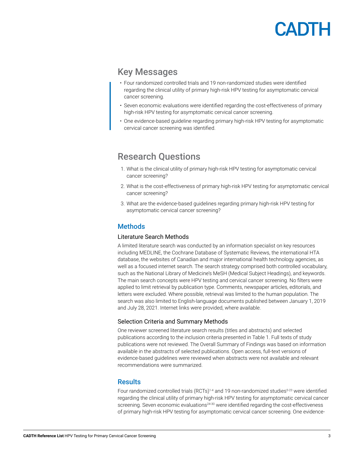## **ADTH**

### <span id="page-2-0"></span>Key Messages

- Four randomized controlled trials and 19 non-randomized studies were identified regarding the clinical utility of primary high-risk HPV testing for asymptomatic cervical cancer screening.
- Seven economic evaluations were identified regarding the cost-effectiveness of primary high-risk HPV testing for asymptomatic cervical cancer screening.
- One evidence-based guideline regarding primary high-risk HPV testing for asymptomatic cervical cancer screening was identified.

### Research Questions

- 1. What is the clinical utility of primary high-risk HPV testing for asymptomatic cervical cancer screening?
- 2. What is the cost-effectiveness of primary high-risk HPV testing for asymptomatic cervical cancer screening?
- 3. What are the evidence-based guidelines regarding primary high-risk HPV testing for asymptomatic cervical cancer screening?

### **Methods**

#### Literature Search Methods

A limited literature search was conducted by an information specialist on key resources including MEDLINE, the Cochrane Database of Systematic Reviews, the international HTA database, the websites of Canadian and major international health technology agencies, as well as a focused internet search. The search strategy comprised both controlled vocabulary, such as the National Library of Medicine's MeSH (Medical Subject Headings), and keywords. The main search concepts were HPV testing and cervical cancer screening. No filters were applied to limit retrieval by publication type. Comments, newspaper articles, editorials, and letters were excluded. Where possible, retrieval was limited to the human population. The search was also limited to English-language documents published between January 1, 2019 and July 28, 2021. Internet links were provided, where available.

#### Selection Criteria and Summary Methods

One reviewer screened literature search results (titles and abstracts) and selected publications according to the inclusion criteria presented in [Table 1](#page-3-0). Full texts of study publications were not reviewed. The Overall Summary of Findings was based on information available in the abstracts of selected publications. Open access, full-text versions of evidence-based guidelines were reviewed when abstracts were not available and relevant recommendations were summarized.

#### **Results**

Four randomized controlled trials (RCTs)<sup>[1](#page-11-0)-[4](#page-11-1)</sup> and 19 non-randomized studies<sup>[5-](#page-11-2)[23](#page-12-0)</sup> were identified regarding the clinical utility of primary high-risk HPV testing for asymptomatic cervical cancer screening. Seven economic evaluations<sup>24-[30](#page-12-2)</sup> were identified regarding the cost-effectiveness of primary high-risk HPV testing for asymptomatic cervical cancer screening. One evidence-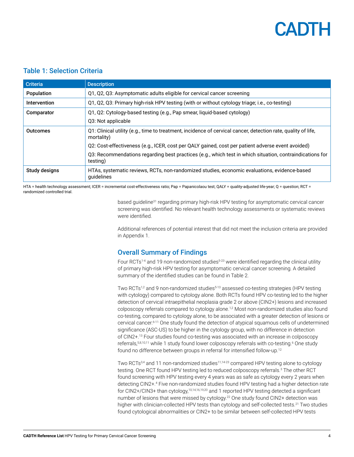

#### <span id="page-3-0"></span>Table 1: Selection Criteria

| <b>Criteria</b> | <b>Description</b>                                                                                                          |  |  |
|-----------------|-----------------------------------------------------------------------------------------------------------------------------|--|--|
| Population      | Q1, Q2, Q3: Asymptomatic adults eligible for cervical cancer screening                                                      |  |  |
| Intervention    | Q1, Q2, Q3: Primary high-risk HPV testing (with or without cytology triage; i.e., co-testing)                               |  |  |
| Comparator      | Q1, Q2: Cytology-based testing (e.g., Pap smear, liquid-based cytology)                                                     |  |  |
|                 | Q3: Not applicable                                                                                                          |  |  |
| <b>Outcomes</b> | Q1: Clinical utility (e.g., time to treatment, incidence of cervical cancer, detection rate, quality of life,<br>mortality) |  |  |
|                 | Q2: Cost-effectiveness (e.g., ICER, cost per QALY gained, cost per patient adverse event avoided)                           |  |  |
|                 | Q3: Recommendations regarding best practices (e.g., which test in which situation, contraindications for<br>testing)        |  |  |
| Study designs   | HTAs, systematic reviews, RCTs, non-randomized studies, economic evaluations, evidence-based<br>guidelines                  |  |  |

HTA = health technology assessment; ICER = incremental cost-effectiveness ratio; Pap = Papanicolaou test; QALY = quality-adjusted life-year; Q = question; RCT = randomized controlled trial.

> based guidelin[e31](#page-12-3) regarding primary high-risk HPV testing for asymptomatic cervical cancer screening was identified. No relevant health technology assessments or systematic reviews were identified.

Additional references of potential interest that did not meet the inclusion criteria are provided in [Appendix 1.](#page-13-0)

### Overall Summary of Findings

Four RCTs<sup>[1-](#page-11-0)[4](#page-11-1)</sup> and 19 non-randomized studies<sup>[5](#page-11-2)-[23](#page-12-0)</sup> were identified regarding the clinical utility of primary high-risk HPV testing for asymptomatic cervical cancer screening. A detailed summary of the identified studies can be found in [Table 2](#page-5-0).

Two RCTs<sup>[1](#page-11-0),[2](#page-11-3)</sup> and 9 non-randomized studies<sup>[5-](#page-11-2)13</sup> assessed co-testing strategies (HPV testing with cytology) compared to cytology alone. Both RCTs found HPV co-testing led to the higher detection of cervical intraepithelial neoplasia grade 2 or above (CIN2+) lesions and increased colposcopy referrals compared to cytology alone.<sup>[1,](#page-11-0)[2](#page-11-3)</sup> Most non-randomized studies also found co-testing, compared to cytology alone, to be associated with a greater detection of lesions or cervical cancer[.6](#page-11-5)-[11](#page-11-6) One study found the detection of atypical squamous cells of undetermined significance (ASC-US) to be higher in the cytology group, with no difference in detection of CIN2+.[13](#page-11-4) Four studies found co-testing was associated with an increase in colposcopy referrals,<sup>[5,](#page-11-2)[8,](#page-11-7)[10](#page-11-8)[,11](#page-11-6)</sup> while 1 study found lower colposcopy referrals with co-testing.<sup>[6](#page-11-5)</sup> One study found no difference between groups in referral for intensified follow-up.[12](#page-11-9)

Two RCTs<sup>[3](#page-11-10),[4](#page-11-1)</sup> and [11](#page-11-6) non-randomized studies<sup>11[,14](#page-11-11)-23</sup> compared HPV testing alone to cytology testing. One RCT found HPV testing led to reduced colposcopy referrals.<sup>3</sup> The other RCT found screening with HPV testing every 4 years was as safe as cytology every 2 years when detecting CIN2+[.4](#page-11-1) Five non-randomized studies found HPV testing had a higher detection rate for CIN2+/CIN3+ than cytology,<sup>10,[14,](#page-11-11)[16,](#page-11-12)[19](#page-12-4)[,20](#page-12-5)</sup> and 1 reported HPV testing detected a significant number of lesions that were missed by cytology.<sup>[22](#page-12-6)</sup> One study found CIN2+ detection was higher with clinician-collected HPV tests than cytology and self-collected tests.<sup>21</sup> Two studies found cytological abnormalities or CIN2+ to be similar between self-collected HPV tests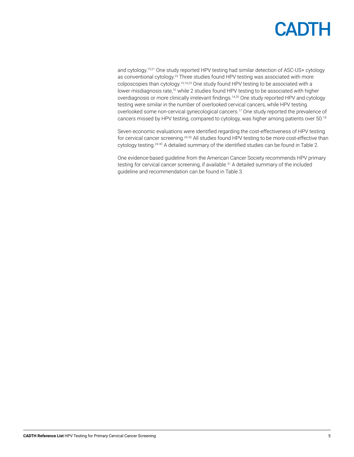and cytology.<sup>15[,21](#page-12-7)</sup> One study reported HPV testing had similar detection of ASC-US+ cytology as conventional cytology.<sup>23</sup> Three studies found HPV testing was associated with more colposcopies than cytology.[10](#page-11-8)[,16](#page-11-12)[,23](#page-12-0) One study found HPV testing to be associated with a lower misdiagnosis rate,<sup>10</sup> while 2 studies found HPV testing to be associated with higher overdiagnosis or more clinically irrelevant findings.<sup>[14,](#page-11-11)20</sup> One study reported HPV and cytology testing were similar in the number of overlooked cervical cancers, while HPV testing overlooked some non-cervical gynecological cancers.[17](#page-11-14) One study reported the prevalence of cancers missed by HPV testing, compared to cytology, was higher among patients over 50.<sup>[18](#page-11-15)</sup>

Seven economic evaluations were identified regarding the cost-effectiveness of HPV testing for cervical cancer screening.[24](#page-12-1)-[30](#page-12-2) All studies found HPV testing to be more cost-effective than cytology testing.<sup>[24](#page-12-1)[-30](#page-12-2)</sup> A detailed summary of the identified studies can be found in [Table 2](#page-5-0).

One evidence-based guideline from the American Cancer Society recommends HPV primary testing for cervical cancer screening, if available.<sup>31</sup> A detailed summary of the included guideline and recommendation can be found in [Table 3.](#page-10-0)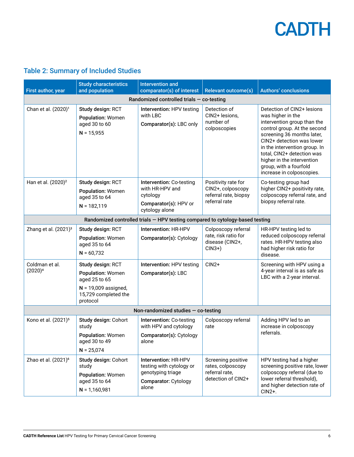### <span id="page-5-0"></span>Table 2: Summary of Included Studies

| First author, year                                                            | <b>Study characteristics</b><br>and population                                                                               | <b>Intervention and</b><br>comparator(s) of interest                                                          | <b>Relevant outcome(s)</b>                                                         | <b>Authors' conclusions</b>                                                                                                                                                                                                                                                                                                   |
|-------------------------------------------------------------------------------|------------------------------------------------------------------------------------------------------------------------------|---------------------------------------------------------------------------------------------------------------|------------------------------------------------------------------------------------|-------------------------------------------------------------------------------------------------------------------------------------------------------------------------------------------------------------------------------------------------------------------------------------------------------------------------------|
| Randomized controlled trials $-$ co-testing                                   |                                                                                                                              |                                                                                                               |                                                                                    |                                                                                                                                                                                                                                                                                                                               |
| Chan et al. (2020) <sup>1</sup>                                               | Study design: RCT<br><b>Population: Women</b><br>aged 30 to 60<br>$N = 15,955$                                               | Intervention: HPV testing<br>with LBC<br>Comparator(s): LBC only                                              | Detection of<br>CIN2+ lesions,<br>number of<br>colposcopies                        | Detection of CIN2+ lesions<br>was higher in the<br>intervention group than the<br>control group. At the second<br>screening 36 months later,<br>CIN2+ detection was lower<br>in the intervention group. In<br>total, CIN2+ detection was<br>higher in the intervention<br>group, with a fourfold<br>increase in colposcopies. |
| Han et al. (2020) <sup>2</sup>                                                | Study design: RCT<br><b>Population: Women</b><br>aged 35 to 64<br>$N = 182,119$                                              | Intervention: Co-testing<br>with HR-HPV and<br>cytology<br>Comparator(s): HPV or<br>cytology alone            | Positivity rate for<br>CIN2+, colposcopy<br>referral rate, biopsy<br>referral rate | Co-testing group had<br>higher CIN2+ positivity rate,<br>colposcopy referral rate, and<br>biopsy referral rate.                                                                                                                                                                                                               |
| Randomized controlled trials - HPV testing compared to cytology-based testing |                                                                                                                              |                                                                                                               |                                                                                    |                                                                                                                                                                                                                                                                                                                               |
| Zhang et al. (2021) <sup>3</sup>                                              | Study design: RCT<br><b>Population: Women</b><br>aged 35 to 64<br>$N = 60,732$                                               | Intervention: HR-HPV<br>Comparator(s): Cytology                                                               | Colposcopy referral<br>rate, risk ratio for<br>disease (CIN2+,<br>$CIN3+$          | HR-HPV testing led to<br>reduced colposcopy referral<br>rates. HR-HPV testing also<br>had higher risk ratio for<br>disease.                                                                                                                                                                                                   |
| Coldman et al.<br>$(2020)^4$                                                  | Study design: RCT<br><b>Population: Women</b><br>aged 25 to 65<br>$N = 19,009$ assigned,<br>15,729 completed the<br>protocol | Intervention: HPV testing<br>Comparator(s): LBC                                                               | $CIN2+$                                                                            | Screening with HPV using a<br>4-year interval is as safe as<br>LBC with a 2-year interval.                                                                                                                                                                                                                                    |
| Non-randomized studies $-$ co-testing                                         |                                                                                                                              |                                                                                                               |                                                                                    |                                                                                                                                                                                                                                                                                                                               |
| Kono et al. (2021) <sup>5</sup>                                               | Study design: Cohort<br>study<br><b>Population: Women</b><br>aged 30 to 49<br>$N = 25,074$                                   | Intervention: Co-testing<br>with HPV and cytology<br>Comparator(s): Cytology<br>alone                         | Colposcopy referral<br>rate                                                        | Adding HPV led to an<br>increase in colposcopy<br>referrals.                                                                                                                                                                                                                                                                  |
| Zhao et al. (2021) <sup>6</sup>                                               | Study design: Cohort<br>study<br>Population: Women<br>aged 35 to 64<br>$N = 1,160,981$                                       | Intervention: HR-HPV<br>testing with cytology or<br>genotyping triage<br><b>Comparator: Cytology</b><br>alone | Screening positive<br>rates, colposcopy<br>referral rate,<br>detection of CIN2+    | HPV testing had a higher<br>screening positive rate, lower<br>colposcopy referral (due to<br>lower referral threshold),<br>and higher detection rate of<br>$CIN2+$ .                                                                                                                                                          |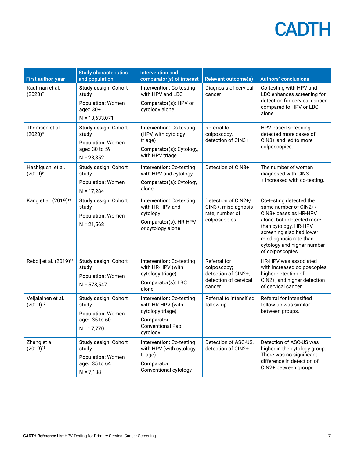| First author, year                  | <b>Study characteristics</b><br>and population                                              | <b>Intervention and</b><br>comparator(s) of interest                                                                    | <b>Relevant outcome(s)</b>                                                            | <b>Authors' conclusions</b>                                                                                                                                                                                                             |
|-------------------------------------|---------------------------------------------------------------------------------------------|-------------------------------------------------------------------------------------------------------------------------|---------------------------------------------------------------------------------------|-----------------------------------------------------------------------------------------------------------------------------------------------------------------------------------------------------------------------------------------|
| Kaufman et al.<br>$(2020)^7$        | Study design: Cohort<br>study<br><b>Population: Women</b><br>aged $30+$<br>$N = 13,633,071$ | Intervention: Co-testing<br>with HPV and LBC<br>Comparator(s): HPV or<br>cytology alone                                 | Diagnosis of cervical<br>cancer                                                       | Co-testing with HPV and<br>LBC enhances screening for<br>detection for cervical cancer<br>compared to HPV or LBC<br>alone.                                                                                                              |
| Thomsen et al.<br>$(2020)^8$        | Study design: Cohort<br>study<br>Population: Women<br>aged 30 to 59<br>$N = 28,352$         | Intervention: Co-testing<br>(HPV, with cytology<br>triage)<br>Comparator(s): Cytology,<br>with HPV triage               | Referral to<br>colposcopy,<br>detection of CIN3+                                      | HPV-based screening<br>detected more cases of<br>CIN3+ and led to more<br>colposcopies.                                                                                                                                                 |
| Hashiguchi et al.<br>$(2019)^9$     | Study design: Cohort<br>study<br>Population: Women<br>$N = 17,284$                          | Intervention: Co-testing<br>with HPV and cytology<br>Comparator(s): Cytology<br>alone                                   | Detection of CIN3+                                                                    | The number of women<br>diagnosed with CIN3<br>+ increased with co-testing.                                                                                                                                                              |
| Kang et al. (2019) <sup>10</sup>    | Study design: Cohort<br>study<br>Population: Women<br>$N = 21,568$                          | Intervention: Co-testing<br>with HR-HPV and<br>cytology<br>Comparator(s): HR-HPV<br>or cytology alone                   | Detection of CIN2+/<br>CIN3+, misdiagnosis<br>rate, number of<br>colposcopies         | Co-testing detected the<br>same number of CIN2+/<br>CIN3+ cases as HR-HPV<br>alone; both detected more<br>than cytology. HR-HPV<br>screening also had lower<br>misdiagnosis rate than<br>cytology and higher number<br>of colposcopies. |
| Rebolj et al. (2019) <sup>11</sup>  | Study design: Cohort<br>study<br>Population: Women<br>$N = 578,547$                         | Intervention: Co-testing<br>with HR-HPV (with<br>cytology triage)<br>Comparator(s): LBC<br>alone                        | Referral for<br>colposcopy;<br>detection of CIN2+,<br>detection of cervical<br>cancer | HR-HPV was associated<br>with increased colposcopies,<br>higher detection of<br>CIN2+, and higher detection<br>of cervical cancer.                                                                                                      |
| Veijalainen et al.<br>$(2019)^{12}$ | Study design: Cohort<br>study<br>Population: Women<br>aged 35 to 60<br>$N = 17,770$         | Intervention: Co-testing<br>with HR-HPV (with<br>cytology triage)<br>Comparator:<br><b>Conventional Pap</b><br>cytology | Referral to intensified<br>follow-up                                                  | Referral for intensified<br>follow-up was similar<br>between groups.                                                                                                                                                                    |
| Zhang et al.<br>$(2019)^{13}$       | Study design: Cohort<br>study<br>Population: Women<br>aged 35 to 64<br>$N = 7,138$          | Intervention: Co-testing<br>with HPV (with cytology<br>triage)<br>Comparator:<br>Conventional cytology                  | Detection of ASC-US,<br>detection of CIN2+                                            | Detection of ASC-US was<br>higher in the cytology group.<br>There was no significant<br>difference in detection of<br>CIN2+ between groups.                                                                                             |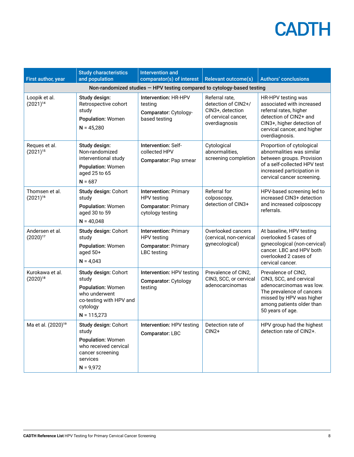| First author, year                                                      | <b>Study characteristics</b><br>and population                                                                              | <b>Intervention and</b><br>comparator(s) of interest                                                   | <b>Relevant outcome(s)</b>                                                                        | Authors' conclusions                                                                                                                                                                 |
|-------------------------------------------------------------------------|-----------------------------------------------------------------------------------------------------------------------------|--------------------------------------------------------------------------------------------------------|---------------------------------------------------------------------------------------------------|--------------------------------------------------------------------------------------------------------------------------------------------------------------------------------------|
| Non-randomized studies - HPV testing compared to cytology-based testing |                                                                                                                             |                                                                                                        |                                                                                                   |                                                                                                                                                                                      |
| Loopik et al.<br>$(2021)^{14}$                                          | Study design:<br>Retrospective cohort<br>study<br>Population: Women<br>$N = 45,280$                                         | Intervention: HR-HPV<br>testing<br>Comparator: Cytology-<br>based testing                              | Referral rate,<br>detection of CIN2+/<br>CIN3+, detection<br>of cervical cancer,<br>overdiagnosis | HR-HPV testing was<br>associated with increased<br>referral rates, higher<br>detection of CIN2+ and<br>CIN3+, higher detection of<br>cervical cancer, and higher<br>overdiagnosis.   |
| Reques et al.<br>$(2021)^{15}$                                          | Study design:<br>Non-randomized<br>interventional study<br>Population: Women<br>aged 25 to 65<br>$N = 687$                  | Intervention: Self-<br>collected HPV<br>Comparator: Pap smear                                          | Cytological<br>abnormalities,<br>screening completion                                             | Proportion of cytological<br>abnormalities was similar<br>between groups. Provision<br>of a self-collected HPV test<br>increased participation in<br>cervical cancer screening.      |
| Thomsen et al.<br>$(2021)^{16}$                                         | Study design: Cohort<br>study<br><b>Population: Women</b><br>aged 30 to 59<br>$N = 40,048$                                  | <b>Intervention: Primary</b><br><b>HPV</b> testing<br><b>Comparator: Primary</b><br>cytology testing   | Referral for<br>colposcopy,<br>detection of CIN3+                                                 | HPV-based screening led to<br>increased CIN3+ detection<br>and increased colposcopy<br>referrals.                                                                                    |
| Andersen et al.<br>$(2020)^{17}$                                        | Study design: Cohort<br>study<br>Population: Women<br>aged 50+<br>$N = 4,043$                                               | <b>Intervention: Primary</b><br><b>HPV</b> testing<br><b>Comparator: Primary</b><br><b>LBC</b> testing | Overlooked cancers<br>(cervical, non-cervical<br>gynecological)                                   | At baseline, HPV testing<br>overlooked 5 cases of<br>gynecological (non-cervical)<br>cancer. LBC and HPV both<br>overlooked 2 cases of<br>cervical cancer.                           |
| Kurokawa et al.<br>$(2020)^{18}$                                        | Study design: Cohort<br>study<br>Population: Women<br>who underwent<br>co-testing with HPV and<br>cytology<br>$N = 115,273$ | Intervention: HPV testing<br><b>Comparator: Cytology</b><br>testing                                    | Prevalence of CIN2,<br>CIN3, SCC, or cervical<br>adenocarcinomas                                  | Prevalence of CIN2,<br>CIN3, SCC, and cervical<br>adenocarcinomas was low.<br>The prevalence of cancers<br>missed by HPV was higher<br>among patients older than<br>50 years of age. |
| Ma et al. (2020) <sup>19</sup>                                          | Study design: Cohort<br>study<br>Population: Women<br>who received cervical<br>cancer screening<br>services<br>$N = 9,972$  | Intervention: HPV testing<br>Comparator: LBC                                                           | Detection rate of<br>$CIN2+$                                                                      | HPV group had the highest<br>detection rate of CIN2+.                                                                                                                                |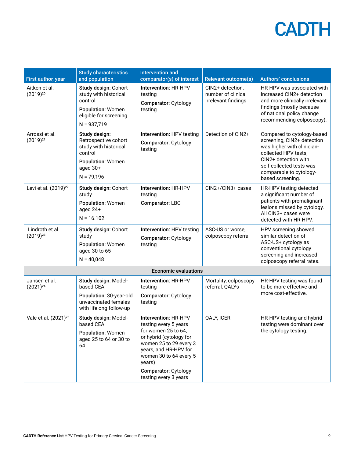| First author, year               | <b>Study characteristics</b><br>and population                                                                                      | <b>Intervention and</b><br>comparator(s) of interest                                                                                                                                                                                           | <b>Relevant outcome(s)</b>                                    | <b>Authors' conclusions</b>                                                                                                                                                                                       |
|----------------------------------|-------------------------------------------------------------------------------------------------------------------------------------|------------------------------------------------------------------------------------------------------------------------------------------------------------------------------------------------------------------------------------------------|---------------------------------------------------------------|-------------------------------------------------------------------------------------------------------------------------------------------------------------------------------------------------------------------|
| Aitken et al.<br>$(2019)^{20}$   | Study design: Cohort<br>study with historical<br>control<br>Population: Women<br>eligible for screening<br>$N = 937,719$            | Intervention: HR-HPV<br>testing<br><b>Comparator: Cytology</b><br>testing                                                                                                                                                                      | CIN2+ detection,<br>number of clinical<br>irrelevant findings | HR-HPV was associated with<br>increased CIN2+ detection<br>and more clinically irrelevant<br>findings (mostly because<br>of national policy change<br>recommending colposcopy).                                   |
| Arrossi et al.<br>$(2019)^{21}$  | Study design:<br>Retrospective cohort<br>study with historical<br>control<br><b>Population: Women</b><br>aged $30+$<br>$N = 79,196$ | Intervention: HPV testing<br><b>Comparator: Cytology</b><br>testing                                                                                                                                                                            | Detection of CIN2+                                            | Compared to cytology-based<br>screening, CIN2+ detection<br>was higher with clinician-<br>collected HPV tests;<br>CIN2+ detection with<br>self-collected tests was<br>comparable to cytology-<br>based screening. |
| Levi et al. (2019) <sup>22</sup> | Study design: Cohort<br>study<br>Population: Women<br>aged $24+$<br>$N = 16.102$                                                    | Intervention: HR-HPV<br>testing<br>Comparator: LBC                                                                                                                                                                                             | CIN2+/CIN3+ cases                                             | HR-HPV testing detected<br>a significant number of<br>patients with premalignant<br>lesions missed by cytology.<br>All CIN3+ cases were<br>detected with HR-HPV.                                                  |
| Lindroth et al.<br>$(2019)^{23}$ | Study design: Cohort<br>study<br>Population: Women<br>aged 30 to 65<br>$N = 40,048$                                                 | Intervention: HPV testing<br><b>Comparator: Cytology</b><br>testing                                                                                                                                                                            | ASC-US or worse,<br>colposcopy referral                       | HPV screening showed<br>similar detection of<br>ASC-US+ cytology as<br>conventional cytology<br>screening and increased<br>colposcopy referral rates.                                                             |
|                                  |                                                                                                                                     | <b>Economic evaluations</b>                                                                                                                                                                                                                    |                                                               |                                                                                                                                                                                                                   |
| Jansen et al.<br>$(2021)^{24}$   | Study design: Model-<br>based CEA<br>Population: 30-year-old<br>unvaccinated females<br>with lifelong follow-up                     | Intervention: HR-HPV<br>testing<br>Comparator: Cytology<br>testing                                                                                                                                                                             | Mortality, colposcopy<br>referral, QALYs                      | HR-HPV testing was found<br>to be more effective and<br>more cost-effective.                                                                                                                                      |
| Vale et al. (2021) <sup>25</sup> | Study design: Model-<br>based CEA<br>Population: Women<br>aged 25 to 64 or 30 to<br>64                                              | Intervention: HR-HPV<br>testing every 5 years<br>for women 25 to 64,<br>or hybrid (cytology for<br>women 25 to 29 every 3<br>years, and HR-HPV for<br>women 30 to 64 every 5<br>years)<br><b>Comparator: Cytology</b><br>testing every 3 years | QALY, ICER                                                    | HR-HPV testing and hybrid<br>testing were dominant over<br>the cytology testing.                                                                                                                                  |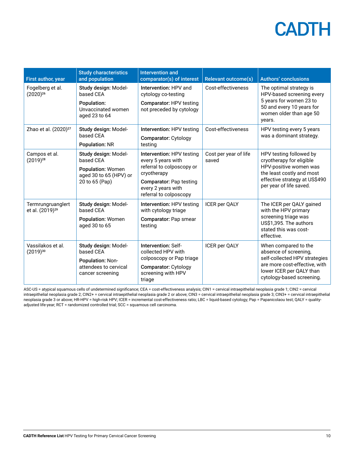| First author, year                               | <b>Study characteristics</b><br>and population                                                            | <b>Intervention and</b><br>comparator(s) of interest                                                                                                                          | <b>Relevant outcome(s)</b>     | <b>Authors' conclusions</b>                                                                                                                                              |
|--------------------------------------------------|-----------------------------------------------------------------------------------------------------------|-------------------------------------------------------------------------------------------------------------------------------------------------------------------------------|--------------------------------|--------------------------------------------------------------------------------------------------------------------------------------------------------------------------|
| Fogelberg et al.<br>$(2020)^{26}$                | Study design: Model-<br>based CEA<br><b>Population:</b><br>Unvaccinated women<br>aged 23 to 64            | Intervention: HPV and<br>cytology co-testing<br><b>Comparator: HPV testing</b><br>not preceded by cytology                                                                    | Cost-effectiveness             | The optimal strategy is<br>HPV-based screening every<br>5 years for women 23 to<br>50 and every 10 years for<br>women older than age 50<br>years.                        |
| Zhao et al. (2020) <sup>27</sup>                 | Study design: Model-<br>based CEA<br><b>Population: NR</b>                                                | Intervention: HPV testing<br>Comparator: Cytology<br>testing                                                                                                                  | Cost-effectiveness             | HPV testing every 5 years<br>was a dominant strategy.                                                                                                                    |
| Campos et al.<br>$(2019)^{28}$                   | Study design: Model-<br>based CFA<br><b>Population: Women</b><br>aged 30 to 65 (HPV) or<br>20 to 65 (Pap) | Intervention: HPV testing<br>every 5 years with<br>referral to colposcopy or<br>cryotherapy<br><b>Comparator: Pap testing</b><br>every 2 years with<br>referral to colposcopy | Cost per year of life<br>saved | HPV testing followed by<br>cryotherapy for eligible<br>HPV-positive women was<br>the least costly and most<br>effective strategy at US\$490<br>per year of life saved.   |
| Termrungruanglert<br>et al. (2019) <sup>29</sup> | Study design: Model-<br>based CEA<br><b>Population: Women</b><br>aged 30 to 65                            | Intervention: HPV testing<br>with cytology triage<br>Comparator: Pap smear<br>testing                                                                                         | <b>ICER per QALY</b>           | The ICER per QALY gained<br>with the HPV primary<br>screening triage was<br>US\$1,395. The authors<br>stated this was cost-<br>effective.                                |
| Vassilakos et al.<br>$(2019)^{30}$               | Study design: Model-<br>based CFA<br>Population: Non-<br>attendees to cervical<br>cancer screening        | Intervention: Self-<br>collected HPV with<br>colposcopy or Pap triage<br><b>Comparator: Cytology</b><br>screening with HPV<br>triage                                          | <b>ICER per QALY</b>           | When compared to the<br>absence of screening,<br>self-collected HPV strategies<br>are more cost-effective, with<br>lower ICER per QALY than<br>cytology-based screening. |

ASC-US = atypical squamous cells of undetermined significance; CEA = cost-effectiveness analysis; CIN1 = cervical intraepithelial neoplasia grade 1; CIN2 = cervical intraepithelial neoplasia grade 2; CIN2+ = cervical intraepithelial neoplasia grade 2 or above; CIN3 = cervical intraepithelial neoplasia grade 3; CIN3+ = cervical intraepithelial neoplasia grade 3 or above; HR-HPV = high-risk HPV; ICER = incremental cost-effectiveness ratio; LBC = liquid-based cytology; Pap = Papanicolaou test; QALY = qualityadjusted life-year; RCT = randomized controlled trial; SCC = squamous cell carcinoma.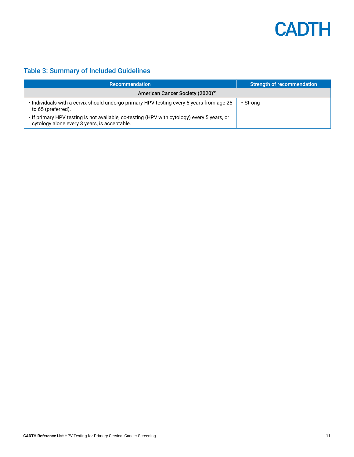

### <span id="page-10-0"></span>Table 3: Summary of Included Guidelines

| <b>Recommendation</b>                                                                                                                       | <b>Strength of recommendation</b> |  |  |  |
|---------------------------------------------------------------------------------------------------------------------------------------------|-----------------------------------|--|--|--|
| American Cancer Society (2020) <sup>31</sup>                                                                                                |                                   |  |  |  |
| · Individuals with a cervix should undergo primary HPV testing every 5 years from age 25<br>to 65 (preferred).                              | • Strong                          |  |  |  |
| • If primary HPV testing is not available, co-testing (HPV with cytology) every 5 years, or<br>cytology alone every 3 years, is acceptable. |                                   |  |  |  |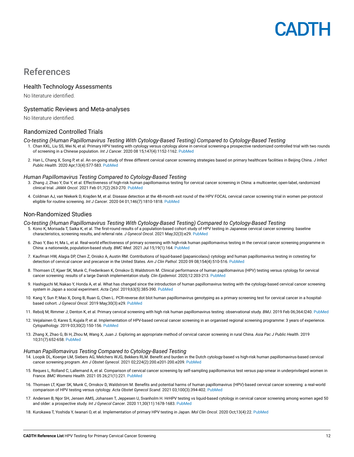

### References

#### Health Technology Assessments

No literature identified.

#### Systematic Reviews and Meta-analyses

No literature identified.

#### Randomized Controlled Trials

#### *Co-testing (Human Papillomavirus Testing With Cytology-Based Testing) Compared to Cytology-Based Testing*

- <span id="page-11-0"></span> 1. Chan KKL, Liu SS, Wei N, et al. Primary HPV testing with cytology versus cytology alone in cervical screening-a prospective randomized controlled trial with two rounds of screening in a Chinese population. *Int J Cancer*. 2020 08 15;147(4):1152-1162. [PubMed](https://pubmed.ncbi.nlm.nih.gov/31922265)
- <span id="page-11-3"></span>2. Han L, Chang X, Song P, et al. An on-going study of three different cervical cancer screening strategies based on primary healthcare facilities in Beijing China. *J Infect Public Health*. 2020 Apr;13(4):577-583. [PubMed](https://pubmed.ncbi.nlm.nih.gov/31564529)

#### *Human Papillomavirus Testing Compared to Cytology-Based Testing*

- <span id="page-11-10"></span> 3. Zhang J, Zhao Y, Dai Y, et al. Effectiveness of high-risk human papillomavirus testing for cervical cancer screening in China: a multicenter, open-label, randomized clinical trial. *JAMA Oncol*. 2021 Feb 01;7(2):263-270. [PubMed](https://pubmed.ncbi.nlm.nih.gov/33377903)
- <span id="page-11-1"></span>4. Coldman AJ, van Niekerk D, Krajden M, et al. Disease detection at the 48-month exit round of the HPV FOCAL cervical cancer screening trial in women per-protocol eligible for routine screening. *Int J Cancer*. 2020 04 01;146(7):1810-1818. [PubMed](https://pubmed.ncbi.nlm.nih.gov/31245842)

#### Non-Randomized Studies

#### *Co-testing (Human Papillomavirus Testing With Cytology-Based Testing) Compared to Cytology-Based Testing*

- <span id="page-11-2"></span>5. Kono K, Morisada T, Saika K, et al. The first-round results of a population-based cohort study of HPV testing in Japanese cervical cancer screening: baseline characteristics, screening results, and referral rate. *J Gynecol Oncol*. 2021 May;32(3):e29. [PubMed](https://pubmed.ncbi.nlm.nih.gov/33559411)
- <span id="page-11-5"></span> 6. Zhao Y, Bao H, Ma L, et al. Real-world effectiveness of primary screening with high-risk human papillomavirus testing in the cervical cancer screening programme in China: a nationwide, population-based study. *BMC Med*. 2021 Jul 15;19(1):164. [PubMed](https://pubmed.ncbi.nlm.nih.gov/34261463)
- <span id="page-11-16"></span>7. Kaufman HW, Alagia DP, Chen Z, Onisko A, Austin RM. Contributions of liquid-based (papanicolaou) cytology and human papillomavirus testing in cotesting for detection of cervical cancer and precancer in the United States. *Am J Clin Pathol*. 2020 09 08;154(4):510-516. [PubMed](https://pubmed.ncbi.nlm.nih.gov/32637991)
- <span id="page-11-7"></span>8. Thomsen LT, Kjaer SK, Munk C, Frederiksen K, Ornskov D, Waldstrom M. Clinical performance of human papillomavirus (HPV) testing versus cytology for cervical cancer screening: results of a large Danish implementation study. *Clin Epidemiol*. 2020;12:203-213. [PubMed](https://pubmed.ncbi.nlm.nih.gov/32110112)
- <span id="page-11-17"></span>9. Hashiguchi M, Nakao Y, Honda A, et al. What has changed since the introduction of human papillomavirus testing with the cytology-based cervical cancer screening system in Japan a social experiment. *Acta Cytol*. 2019;63(5):385-390. [PubMed](https://pubmed.ncbi.nlm.nih.gov/31163443)
- <span id="page-11-8"></span>10. Kang Y, Sun P, Mao X, Dong B, Ruan G, Chen L. PCR-reverse dot blot human papillomavirus genotyping as a primary screening test for cervical cancer in a hospitalbased cohort. *J Gynecol Oncol*. 2019 May;30(3):e29. [PubMed](https://pubmed.ncbi.nlm.nih.gov/30887754)
- <span id="page-11-6"></span>11. Rebolj M, Rimmer J, Denton K, et al. Primary cervical screening with high risk human papillomavirus testing: observational study. *BMJ*. 2019 Feb 06;364:l240. [PubMed](https://pubmed.ncbi.nlm.nih.gov/30728133)
- <span id="page-11-9"></span>12. Veijalainen O, Kares S, Kujala P, et al. Implementation of HPV-based cervical cancer screening in an organised regional screening programme: 3 years of experience. *Cytopathology*. 2019 03;30(2):150-156. [PubMed](https://pubmed.ncbi.nlm.nih.gov/30421573)
- <span id="page-11-4"></span>13. Zhang X, Zhao G, Bi H, Zhou M, Wang X, Juan J. Exploring an appropriate method of cervical cancer screening in rural China. *Asia Pac J Public Health*. 2019 10;31(7):652-658. [PubMed](https://pubmed.ncbi.nlm.nih.gov/31578073)

#### *Human Papillomavirus Testing Compared to Cytology-Based Testing*

- <span id="page-11-11"></span>14. Loopik DL, Koenjer LM, Siebers AG, Melchers WJG, Bekkers RLM. Benefit and burden in the Dutch cytology-based vs high-risk human papillomavirus-based cervical cancer screening program. *Am J Obstet Gynecol*. 2021 02;224(2):200.e201-200.e209. [PubMed](https://pubmed.ncbi.nlm.nih.gov/32800820)
- <span id="page-11-13"></span>15. Reques L, Rolland C, Lallemand A, et al. Comparison of cervical cancer screening by self-sampling papillomavirus test versus pap-smear in underprivileged women in France. *BMC Womens Health*. 2021 05 26;21(1):221. [PubMed](https://pubmed.ncbi.nlm.nih.gov/34039341)
- <span id="page-11-12"></span>16. Thomsen LT, Kjaer SK, Munk C, Ornskov D, Waldstrom M. Benefits and potential harms of human papillomavirus (HPV)-based cervical cancer screening: a real-world comparison of HPV testing versus cytology. *Acta Obstet Gynecol Scand*. 2021 03;100(3):394-402. [PubMed](https://pubmed.ncbi.nlm.nih.gov/33566361)
- <span id="page-11-14"></span>17. Andersen B, Njor SH, Jensen AMS, Johansen T, Jeppesen U, Svanholm H. HrHPV testing vs liquid-based cytology in cervical cancer screening among women aged 50 and older: a prospective study. *Int J Gynecol Cancer*. 2020 11;30(11):1678-1683. [PubMed](https://pubmed.ncbi.nlm.nih.gov/33037107)
- <span id="page-11-15"></span>18. Kurokawa T, Yoshida Y, Iwanari O, et al. Implementation of primary HPV testing in Japan. *Mol Clin Oncol*. 2020 Oct;13(4):22. [PubMed](https://pubmed.ncbi.nlm.nih.gov/32765870)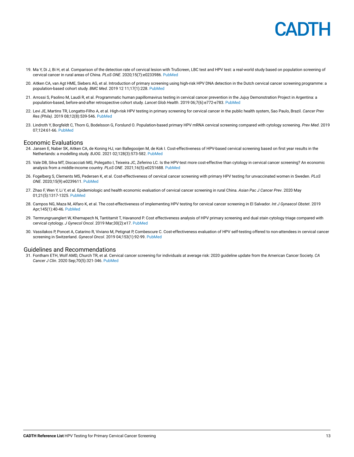

- <span id="page-12-4"></span>19. Ma Y, Di J, Bi H, et al. Comparison of the detection rate of cervical lesion with TruScreen, LBC test and HPV test: a real-world study based on population screening of cervical cancer in rural areas of China. *PLoS ONE*. 2020;15(7):e0233986. [PubMed](https://pubmed.ncbi.nlm.nih.gov/32634143)
- <span id="page-12-5"></span>20. Aitken CA, van Agt HME, Siebers AG, et al. Introduction of primary screening using high-risk HPV DNA detection in the Dutch cervical cancer screening programme: a population-based cohort study. *BMC Med*. 2019 12 11;17(1):228. [PubMed](https://pubmed.ncbi.nlm.nih.gov/31829241)
- <span id="page-12-7"></span>21. Arrossi S, Paolino M, Laudi R, et al. Programmatic human papillomavirus testing in cervical cancer prevention in the Jujuy Demonstration Project in Argentina: a population-based, before-and-after retrospective cohort study. *Lancet Glob Health*. 2019 06;7(6):e772-e783. [PubMed](https://pubmed.ncbi.nlm.nih.gov/31097279)
- <span id="page-12-6"></span>22. Levi JE, Martins TR, Longatto-Filho A, et al. High-risk HPV testing in primary screening for cervical cancer in the public health system, Sao Paulo, Brazil. *Cancer Prev Res (Phila)*. 2019 08;12(8):539-546. [PubMed](https://pubmed.ncbi.nlm.nih.gov/31189569)
- <span id="page-12-0"></span>23. Lindroth Y, Borgfeldt C, Thorn G, Bodelsson G, Forslund O. Population-based primary HPV mRNA cervical screening compared with cytology screening. *Prev Med*. 2019 07;124:61-66. [PubMed](https://pubmed.ncbi.nlm.nih.gov/31047910)

#### Economic Evaluations

- <span id="page-12-1"></span>24. Jansen E, Naber SK, Aitken CA, de Koning HJ, van Ballegooijen M, de Kok I. Cost-effectiveness of HPV-based cervical screening based on first year results in the Netherlands: a modelling study. *BJOG*. 2021 02;128(3):573-582. [PubMed](https://pubmed.ncbi.nlm.nih.gov/32638462)
- <span id="page-12-8"></span>25. Vale DB, Silva MT, Discacciati MG, Polegatto I, Teixeira JC, Zeferino LC. Is the HPV-test more cost-effective than cytology in cervical cancer screening? An economic analysis from a middle-income country. *PLoS ONE*. 2021;16(5):e0251688. [PubMed](https://pubmed.ncbi.nlm.nih.gov/33989331)
- <span id="page-12-9"></span>26. Fogelberg S, Clements MS, Pedersen K, et al. Cost-effectiveness of cervical cancer screening with primary HPV testing for unvaccinated women in Sweden. *PLoS ONE*. 2020;15(9):e0239611. [PubMed](https://pubmed.ncbi.nlm.nih.gov/32997696)
- <span id="page-12-10"></span>27. Zhao F, Wen Y, Li Y, et al. Epidemiologic and health economic evaluation of cervical cancer screening in rural China. *Asian Pac J Cancer Prev*. 2020 May 01;21(5):1317-1325. [PubMed](https://pubmed.ncbi.nlm.nih.gov/32458639)
- <span id="page-12-11"></span>28. Campos NG, Maza M, Alfaro K, et al. The cost-effectiveness of implementing HPV testing for cervical cancer screening in El Salvador. *Int J Gynaecol Obstet*. 2019 Apr;145(1):40-46. [PubMed](https://pubmed.ncbi.nlm.nih.gov/30702142)
- <span id="page-12-12"></span>29. Termrungruanglert W, Khemapech N, Tantitamit T, Havanond P. Cost effectiveness analysis of HPV primary screening and dual stain cytology triage compared with cervical cytology. *J Gynecol Oncol*. 2019 Mar;30(2):e17. [PubMed](https://pubmed.ncbi.nlm.nih.gov/30740950)
- <span id="page-12-2"></span>30. Vassilakos P, Poncet A, Catarino R, Viviano M, Petignat P, Combescure C. Cost-effectiveness evaluation of HPV self-testing offered to non-attendees in cervical cancer screening in Switzerland. *Gynecol Oncol*. 2019 04;153(1):92-99. [PubMed](https://pubmed.ncbi.nlm.nih.gov/30718124)

#### Guidelines and Recommendations

<span id="page-12-3"></span>31. Fontham ETH, Wolf AMD, Church TR, et al. Cervical cancer screening for individuals at average risk: 2020 guideline update from the American Cancer Society. *CA Cancer J Clin*. 2020 Sep;70(5):321-346. [PubMed](https://pubmed.ncbi.nlm.nih.gov/32729638)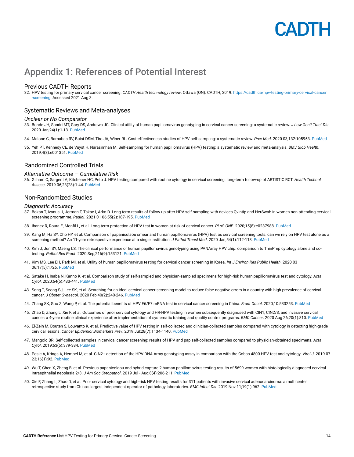### <span id="page-13-0"></span>Appendix 1: References of Potential Interest

#### Previous CADTH Reports

32. HPV testing for primary cervical cancer screening. *CADTH Health technology review*. Ottawa (ON): CADTH; 2019: [https://cadth.ca/hpv-testing-primary-cervical-cancer](https://cadth.ca/hpv-testing-primary-cervical-cancer-screening) [-screening](https://cadth.ca/hpv-testing-primary-cervical-cancer-screening). Accessed 2021 Aug 3.

#### Systematic Reviews and Meta-analyses

#### *Unclear or No Comparator*

- 33. Bonde JH, Sandri MT, Gary DS, Andrews JC. Clinical utility of human papillomavirus genotyping in cervical cancer screening: a systematic review. *J Low Genit Tract Dis*. 2020 Jan;24(1):1-13. [PubMed](https://pubmed.ncbi.nlm.nih.gov/31714325)
- 34. Malone C, Barnabas RV, Buist DSM, Tiro JA, Winer RL. Cost-effectiveness studies of HPV self-sampling: a systematic review. *Prev Med*. 2020 03;132:105953. [PubMed](https://pubmed.ncbi.nlm.nih.gov/31911163)
- 35. Yeh PT, Kennedy CE, de Vuyst H, Narasimhan M. Self-sampling for human papillomavirus (HPV) testing: a systematic review and meta-analysis. *BMJ Glob Health*. 2019;4(3):e001351. [PubMed](https://pubmed.ncbi.nlm.nih.gov/31179035)

#### Randomized Controlled Trials

#### *Alternative Outcome — Cumulative Risk*

36. Gilham C, Sargent A, Kitchener HC, Peto J. HPV testing compared with routine cytology in cervical screening: long-term follow-up of ARTISTIC RCT. *Health Technol Assess*. 2019 06;23(28):1-44. [PubMed](https://pubmed.ncbi.nlm.nih.gov/31219027)

#### Non-Randomized Studies

#### *Diagnostic Accuracy*

- 37. Bokan T, Ivanus U, Jerman T, Takac I, Arko D. Long term results of follow-up after HPV self-sampling with devices Qvintip and HerSwab in women non-attending cervical screening programme. *Radiol*. 2021 01 06;55(2):187-195. [PubMed](https://pubmed.ncbi.nlm.nih.gov/33764704)
- 38. Ibanez R, Roura E, Monfil L, et al. Long-term protection of HPV test in women at risk of cervical cancer. *PLoS ONE*. 2020;15(8):e0237988. [PubMed](https://pubmed.ncbi.nlm.nih.gov/32853216)
- 39. Kang M, Ha SY, Cho HY, et al. Comparison of papanicolaou smear and human papillomavirus (HPV) test as cervical screening tools: can we rely on HPV test alone as a screening method? An 11-year retrospective experience at a single institution. *J Pathol Transl Med*. 2020 Jan;54(1):112-118. [PubMed](https://pubmed.ncbi.nlm.nih.gov/31964113)
- 40. Kim J, Jun SY, Maeng LS. The clinical performance of human papillomavirus genotyping using PANArray HPV chip: comparison to ThinPrep cytology alone and cotesting. *Pathol Res Pract*. 2020 Sep;216(9):153121. [PubMed](https://pubmed.ncbi.nlm.nih.gov/32825927)
- 41. Kim MS, Lee EH, Park MI, et al. Utility of human papillomavirus testing for cervical cancer screening in Korea. *Int J Environ Res Public Health*. 2020 03 06;17(5):1726. [PubMed](https://pubmed.ncbi.nlm.nih.gov/32155755)
- 42. Satake H, Inaba N, Kanno K, et al. Comparison study of self-sampled and physician-sampled specimens for high-risk human papillomavirus test and cytology. *Acta Cytol*. 2020;64(5):433-441. [PubMed](https://pubmed.ncbi.nlm.nih.gov/32396902)
- 43. Song T, Seong SJ, Lee SK, et al. Searching for an ideal cervical cancer screening model to reduce false-negative errors in a country with high prevalence of cervical cancer. *J Obstet Gynaecol*. 2020 Feb;40(2):240-246. [PubMed](https://pubmed.ncbi.nlm.nih.gov/31340702)
- 44. Zhang SK, Guo Z, Wang P, et al. The potential benefits of HPV E6/E7 mRNA test in cervical cancer screening in China. *Front Oncol*. 2020;10:533253. [PubMed](https://pubmed.ncbi.nlm.nih.gov/33123463)
- 45. Zhao D, Zhang L, Xie F, et al. Outcomes of prior cervical cytology and HR-HPV testing in women subsequently diagnosed with CIN1, CIN2/3, and invasive cervical cancer: a 4-year routine clinical experience after implementation of systematic training and quality control programs. *BMC Cancer*. 2020 Aug 26;20(1):810. [PubMed](https://pubmed.ncbi.nlm.nih.gov/32847541)
- 46. El-Zein M, Bouten S, Louvanto K, et al. Predictive value of HPV testing in self-collected and clinician-collected samples compared with cytology in detecting high-grade cervical lesions. *Cancer Epidemiol Biomarkers Prev*. 2019 Jul;28(7):1134-1140. [PubMed](https://pubmed.ncbi.nlm.nih.gov/31015201)
- 47. Mangold BR. Self-collected samples in cervical cancer screening: results of HPV and pap self-collected samples compared to physician-obtained specimens. *Acta Cytol*. 2019;63(5):379-384. [PubMed](https://pubmed.ncbi.nlm.nih.gov/31035279)
- 48. Pesic A, Krings A, Hempel M, et al. CIN2+ detection of the HPV DNA Array genotyping assay in comparison with the Cobas 4800 HPV test and cytology. *Virol J.* 2019 07 23;16(1):92. [PubMed](https://pubmed.ncbi.nlm.nih.gov/31337408)
- 49. Wu T, Chen X, Zheng B, et al. Previous papanicolaou and hybrid capture 2 human papillomavirus testing results of 5699 women with histologically diagnosed cervical intraepithelial neoplasia 2/3. *J Am Soc Cytopathol*. 2019 Jul - Aug;8(4):206-211. [PubMed](https://pubmed.ncbi.nlm.nih.gov/31272603)
- 50. Xie F, Zhang L, Zhao D, et al. Prior cervical cytology and high-risk HPV testing results for 311 patients with invasive cervical adenocarcinoma: a multicenter retrospective study from China's largest independent operator of pathology laboratories. *BMC Infect Dis*. 2019 Nov 11;19(1):962. [PubMed](https://pubmed.ncbi.nlm.nih.gov/31711435)